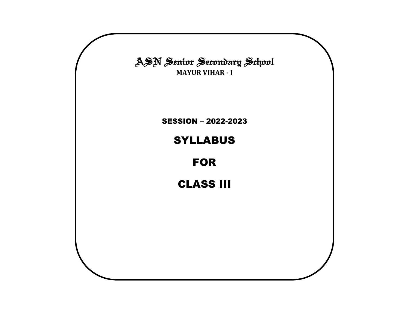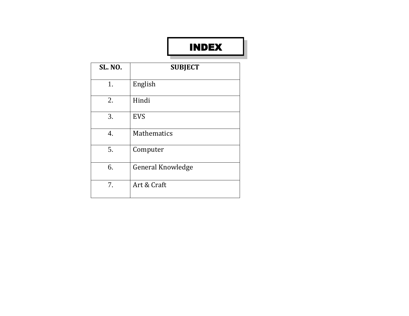# INDEX

| <b>SL. NO.</b> | <b>SUBJECT</b>           |
|----------------|--------------------------|
| 1.             | English                  |
| 2.             | Hindi                    |
| 3.             | <b>EVS</b>               |
| 4.             | <b>Mathematics</b>       |
| 5.             | Computer                 |
| 6.             | <b>General Knowledge</b> |
| 7.             | Art & Craft              |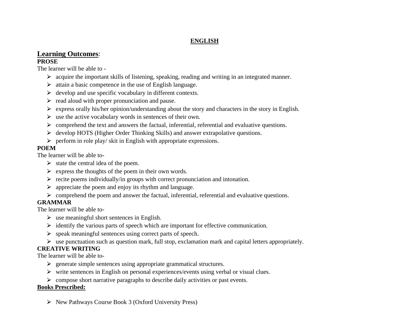### **ENGLISH**

#### **Learning Outcomes**: **PROSE**

The learner will be able to -

- $\triangleright$  acquire the important skills of listening, speaking, reading and writing in an integrated manner.
- $\triangleright$  attain a basic competence in the use of English language.
- $\triangleright$  develop and use specific vocabulary in different contexts.
- $\triangleright$  read aloud with proper pronunciation and pause.
- $\triangleright$  express orally his/her opinion/understanding about the story and characters in the story in English.
- $\triangleright$  use the active vocabulary words in sentences of their own.
- $\triangleright$  comprehend the text and answers the factual, inferential, referential and evaluative questions.
- ⮚ develop HOTS (Higher Order Thinking Skills) and answer extrapolative questions.
- $\triangleright$  perform in role play/ skit in English with appropriate expressions.

### **POEM**

The learner will be able to-

- $\triangleright$  state the central idea of the poem.
- $\triangleright$  express the thoughts of the poem in their own words.
- $\triangleright$  recite poems individually/in groups with correct pronunciation and intonation.
- $\triangleright$  appreciate the poem and enjoy its rhythm and language.
- $\triangleright$  comprehend the poem and answer the factual, inferential, referential and evaluative questions.

### **GRAMMAR**

The learner will be able to-

- $\triangleright$  use meaningful short sentences in English.
- $\triangleright$  identify the various parts of speech which are important for effective communication.
- $\triangleright$  speak meaningful sentences using correct parts of speech.
- $\triangleright$  use punctuation such as question mark, full stop, exclamation mark and capital letters appropriately.

### **CREATIVE WRITING**

The learner will be able to-

- $\triangleright$  generate simple sentences using appropriate grammatical structures.
- $\triangleright$  write sentences in English on personal experiences/events using verbal or visual clues.
- $\triangleright$  compose short narrative paragraphs to describe daily activities or past events.

### **Books Prescribed:**

 $\triangleright$  New Pathways Course Book 3 (Oxford University Press)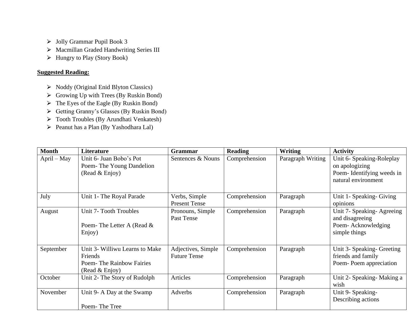- ⮚ Jolly Grammar Pupil Book 3
- > Macmillan Graded Handwriting Series III
- ⮚ Hungry to Play (Story Book)

### **Suggested Reading:**

- ⮚ Noddy (Original Enid Blyton Classics)
- $\triangleright$  Growing Up with Trees (By Ruskin Bond)
- $\triangleright$  The Eyes of the Eagle (By Ruskin Bond)
- ⮚ Getting Granny's Glasses (By Ruskin Bond)
- > Tooth Troubles (By Arundhati Venkatesh)
- ⮚ Peanut has a Plan (By Yashodhara Lal)

| <b>Month</b>  | Literature                                                                              | Grammar                                   | <b>Reading</b> | Writing           | <b>Activity</b>                                                                                 |  |
|---------------|-----------------------------------------------------------------------------------------|-------------------------------------------|----------------|-------------------|-------------------------------------------------------------------------------------------------|--|
| $April - May$ | Unit 6- Juan Bobo's Pot<br>Poem-The Young Dandelion<br>(Read & Enjoy)                   | Sentences & Nouns                         | Comprehension  | Paragraph Writing | Unit 6- Speaking-Roleplay<br>on apologizing<br>Poem-Identifying weeds in<br>natural environment |  |
| July          | Unit 1- The Royal Parade                                                                | Verbs, Simple<br><b>Present Tense</b>     | Comprehension  | Paragraph         | Unit 1- Speaking- Giving<br>opinions                                                            |  |
| August        | Unit 7- Tooth Troubles<br>Poem-The Letter A (Read &<br>Enjoy)                           | Pronouns, Simple<br>Past Tense            | Comprehension  | Paragraph         | Unit 7- Speaking-Agreeing<br>and disagreeing<br>Poem-Acknowledging<br>simple things             |  |
| September     | Unit 3- Williwu Learns to Make<br>Friends<br>Poem-The Rainbow Fairies<br>(Read & Enjoy) | Adjectives, Simple<br><b>Future Tense</b> | Comprehension  | Paragraph         | Unit 3- Speaking- Greeting<br>friends and family<br>Poem-Poem appreciation                      |  |
| October       | Unit 2- The Story of Rudolph                                                            | Articles                                  | Comprehension  | Paragraph         | Unit 2- Speaking-Making a<br>wish                                                               |  |
| November      | Unit 9- A Day at the Swamp<br>Poem-The Tree                                             | Adverbs                                   | Comprehension  | Paragraph         | Unit 9- Speaking-<br>Describing actions                                                         |  |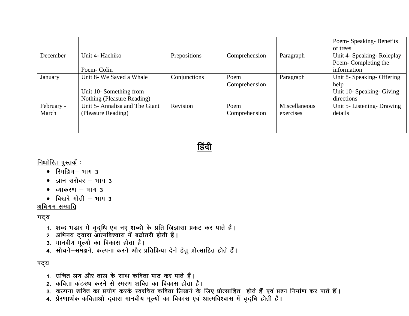|            |                                |              |               |               | Poem-Speaking-Benefits     |
|------------|--------------------------------|--------------|---------------|---------------|----------------------------|
|            |                                |              |               |               | of trees                   |
| December   | Unit 4- Hachiko                | Prepositions | Comprehension | Paragraph     | Unit 4- Speaking-Roleplay  |
|            |                                |              |               |               | Poem-Completing the        |
|            | Poem-Colin                     |              |               |               | information                |
| January    | Unit 8- We Saved a Whale       | Conjunctions | Poem          | Paragraph     | Unit 8- Speaking- Offering |
|            |                                |              | Comprehension |               | help                       |
|            | Unit 10-Something from         |              |               |               | Unit 10- Speaking- Giving  |
|            | Nothing (Pleasure Reading)     |              |               |               | directions                 |
| February - | Unit 5- Annalisa and The Giant | Revision     | Poem          | Miscellaneous | Unit 5- Listening- Drawing |
| March      | (Pleasure Reading)             |              | Comprehension | exercises     | details                    |
|            |                                |              |               |               |                            |
|            |                                |              |               |               |                            |



निर्धारित पुस्तकें :

- रिमझिम- भाग 3
- ज्ञान सरोवर  $-$  भाग 3
- व्याकरण  $-$  भाग 3
- बिखरे मोती  $-$  भाग 3

अधिगम सम्प्राति

गद्य

- 1. शब्द भंडार में वृद्धि एवं नए शब्दों के प्रति जिज्ञासा प्रकट कर पाते हैं।
- 2. अभिनय दवारा आत्मविश्वास में बढ़ोतरी होती है।
- 3. मानवीय मूल्यों का विकास होता है।
- 4. सोचने–समझने, कल्पना करने और प्रतिक्रिया देने हेतु प्रोत्साहित होते हैं।

पद्य

- 1. उचित लय और ताल के साथ कविता पाठ कर पाते हैं।
- 2. कविता कंठस्थ करने से स्मरण शक्ति का विकास होता है।
- 3. कल्पना शक्ति का प्रयोग करके स्वरचित कविता लिखने के लिए प्रोत्साहित होते हैं एवं प्रश्न निर्माण कर पाते हैं।
- 4. प्रेरणार्थक कविताओं दवारा मानवीय मूल्यों का विकास एवं आत्मविश्वास में वृद्धि होती है।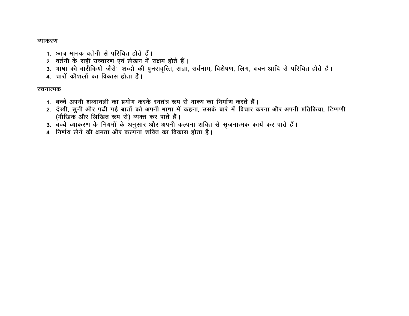व्याकरण

- 1. छात्र मानक वर्तनी से परिचित होते हैं।
- 2. वर्तनी के सही उच्चारण एवं लेखन में सक्षम होते हैं।
- 3. भाषा की बारीकियों जैसे:-शब्दों की पुनरावृत्ति, संज्ञा, सर्वनाम, विशेषण, लिंग, वचन आदि से परिचित होते हैं।
- 4. चारों कौशलों का विकास होता है।

### रचनात्मक

- 1. बच्चे अपनी शब्दावली का प्रयोग करके स्वतंत्र रूप से वाक्य का निर्माण करते हैं।
- 2. देखी, सुनी और पढ़ी गई बातों को अपनी भाषा में कहना, उसके बारे में विचार करना और अपनी प्रतिक्रिया, टिप्पणी (मौखिक और लिखित रूप से) व्यक्त कर पाते हैं।
- 3. बच्चे व्याकरण के नियमों के अनुसार और अपनी कल्पना शक्ति से सृजनात्मक कार्य कर पाते हैं।
- 4. निर्णय लेने की क्षमता और कल्पना शक्ति का विकास होता है।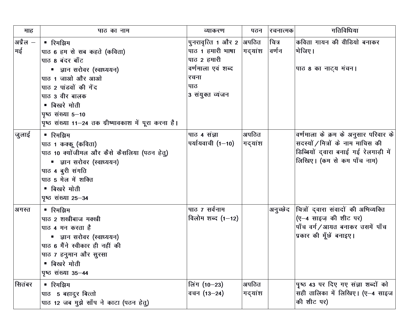| माह            | पाठ का नाम                                                                                                                                                                                                                                         | व्याकरण                                                                                                              | पठन              | रचनात्मक       | गतिविधिया                                                                                                                                        |
|----------------|----------------------------------------------------------------------------------------------------------------------------------------------------------------------------------------------------------------------------------------------------|----------------------------------------------------------------------------------------------------------------------|------------------|----------------|--------------------------------------------------------------------------------------------------------------------------------------------------|
| अप्रैल —<br>मई | ■ रिमझिम<br>पाठ 6 हम से सब कहते (कविता)<br>पाठ 8 बंदर बाँट<br>■ ज्ञान सरोवर (स्वाध्ययन)<br>पाठ 1 जाओ और आओ<br>पाठ 2 पांडवों की गेंद<br>पाठ 3 वीर बालक<br>■ बिखरे मोती<br>पृष्ठ संख्या 5-10<br>पृष्ठ संख्या 11–24 तक ग्रीष्मावकाश में पूरा करना है। | पुनरावृत्ति 1 और 2  अपठित<br>पाठ 1 हमारी भाषा<br>पाठ 2 हमारी<br>वर्णमाला एवं शब्द<br>रचना<br>पाठ<br>3 संयुक्त व्यंजन | ∣गद्यांश         | चित्र<br>वर्णन | कविता गायन की वीडियो बनाकर<br> भेजिए।<br>पाठ 8 का नाट्य मंचन।                                                                                    |
| जुलाई          | ■ रिमझिम<br>पाठ 1 कक्कू (कविता)<br>पाठ 10 क्योंजीमल और कैसे कैसलिया (पठन हेतु)<br>■ ज्ञान सरोवर (स्वाध्ययन)<br>पाठ 4 बुरी संगति<br>पाठ 5 मेल में शक्ति<br>■ बिखरे मोती<br>पृष्ठ संख्या 25-34                                                       | पाठ 4 संज्ञा<br>पर्यायवाची (1—10)                                                                                    | अपठित<br>गद्यांश |                | वर्णमाला के क्रम के अनुसार परिवार के<br>सदस्यों / मित्रों के नाम माचिस की<br>डिब्बियों द्वारा बनाई गई रेलगाड़ी में<br>लिखिए। (कम से कम पाँच नाम) |
| अगस्त          | ■ रिमझिम<br>पाठ 2 शखीबाज मक्खी<br>पाठ 4 मन करता है<br>■ ज्ञान सरोवर (स्वाध्ययन)<br>पाठ 6 मैंने स्वीकार ही नहीं की<br>पाठ ७ हनुमान और सुरसा<br>■ बिखरे मोती<br><b>पृष्ठ</b> संख्या 35-44                                                            | पाठ ७ सर्वनाम<br>विलोम शब्द $(1-12)$                                                                                 |                  | अनुच्छेद       | चित्रों द्वारा संवादों की अभिव्यक्ति<br>(ए-4 साइज़ की शीट पर)<br>पाँच वर्ग/आयत बनाकर उसमें पाँच<br>प्रकार की मूँछें बनाइए।                       |
| सितंबर         | ■ रिमझिम<br>पाठ 5 बहादुर बित्तो<br>पाठ 12 जब मुझे साँप ने काटा (पठन हेतु)                                                                                                                                                                          | लिंग (10−23)<br>वचन (13–24)                                                                                          | अपठित<br>गद्यांश |                | पृष्ठ 43 पर दिए गए संज्ञा शब्दों को<br>सही तालिका में लिखिए। (ए-4 साइज<br>की शीट पर)                                                             |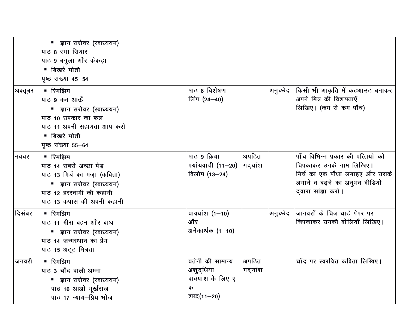|         | ■ ज्ञान सरोवर (स्वाध्ययन)<br>पाठ 8 रंगा सियार<br>पाठ 9 बगुला और केकड़ा<br>■ बिखरे मोती<br>पृष्ठ संख्या 45-54                                            |                                                                         |                  |                                                                                                                                                       |
|---------|---------------------------------------------------------------------------------------------------------------------------------------------------------|-------------------------------------------------------------------------|------------------|-------------------------------------------------------------------------------------------------------------------------------------------------------|
| अक्तूबर | ■ रिमझिम<br>पाठ 9 कब आऊँ<br>■ ज्ञान सरोवर (स्वाध्ययन)<br>पाठ 10 उपकार का फल<br>पाठ 11 अपनी सहायता आप करो<br>■ बिखरे मोती<br>पृष्ठ संख्या 55-64          | पाठ 8 विशेषण<br>लिंग (24-40)                                            | अनुच्छेद         | किसी भी आकृति में कटआउट बनाकर<br>अपने मित्र की विशषताएँ<br>लिखिए। (कम से कम पाँच)                                                                     |
| नवंबर   | ■ रिमझिम<br>पाठ 14 सबसे अच्छा पेड<br>पाठ 13 मिर्च का मज़ा (कविता)<br>■ ज्ञान सरोवर (स्वाध्ययन)<br>पाठ 12 हरस्वामी की कहानी<br>पाठ 13 कपास की अपनी कहानी | पाठ 9 क्रिया<br>पर्यायवाची (11–20)<br>विलोम (13-24)                     | अपठित<br>गदयांश  | पाँच विभिन्न प्रकार की पत्तियों को<br>विपकाकर उनके नाम लिखिए।<br>मिर्च का एक पौधा लगाइए और उसके<br>लगाने व बढ़ने का अनुभव वीडियो<br>द्वारा सांझा करो। |
| दिसंबर  | ■ रिमझिम<br>पाठ 11 मीरा बहन और बाघ<br>■ ज्ञान सरोवर (स्वाध्ययन)<br>पाठ 14 जन्मस्थान का प्रेम<br>पाठ 15 अटूट मित्रता                                     | वाक्यांश $(1-10)$<br>और<br>अनेकार्थक $(1-10)$                           | अनुच्छेद         | जानवरों के चित्र चार्ट पेपर पर<br>विपकाकर उनकी बोलियाँ लिखिए।                                                                                         |
| जनवरी   | ■ रिमझिम<br>पाठ 3 चाँद वाली अम्मा<br>■ ज्ञान सरोवर (स्वाध्ययन)<br>पाठ 16 आओ मूर्खराज<br>पाठ 17 न्याय-प्रिय भोज                                          | वर्तनी की सामान्य<br>अशुद्धिया<br>वाक्यांश के लिए ए<br>क<br>शब्द(11–20) | अपठित<br>गद्यांश | चाँद पर स्वरचित कविता लिखिए।                                                                                                                          |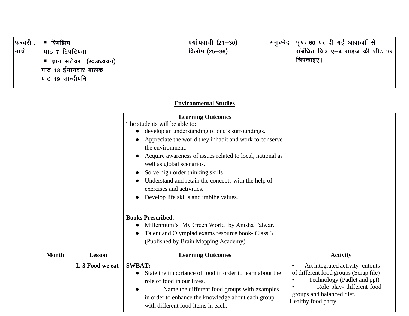| फरवरी. | ■ रिमझिम                  | पर्यायवाची (21—30) | अनुच्छेद  पृष्ठ 60 पर दी गई आवाज़ों से            |
|--------|---------------------------|--------------------|---------------------------------------------------|
| मार्च  | पाठ ७ टिपटिपवा            | विलोम (25—36)      | $\vert$ संबंधित चित्र ए—4 साइज़ की शीट पर $\vert$ |
|        | ■ ज्ञान सरोवर (स्वअध्ययन) |                    | चिपकाइए                                           |
|        | पाठ 18 ईमानदार बालक       |                    |                                                   |
|        | पाठ 19 सान्दीपनि          |                    |                                                   |
|        |                           |                    |                                                   |

### **Environmental Studies**

|              |                 | <b>Learning Outcomes</b><br>The students will be able to:<br>develop an understanding of one's surroundings.<br>Appreciate the world they inhabit and work to conserve<br>the environment.<br>Acquire awareness of issues related to local, national as<br>well as global scenarios.<br>Solve high order thinking skills<br>Understand and retain the concepts with the help of<br>exercises and activities.<br>Develop life skills and imbibe values.<br><b>Books Prescribed:</b><br>Millennium's 'My Green World' by Anisha Talwar.<br>Talent and Olympiad exams resource book- Class 3<br>(Published by Brain Mapping Academy) |                                                                                                                                                                                                      |
|--------------|-----------------|-----------------------------------------------------------------------------------------------------------------------------------------------------------------------------------------------------------------------------------------------------------------------------------------------------------------------------------------------------------------------------------------------------------------------------------------------------------------------------------------------------------------------------------------------------------------------------------------------------------------------------------|------------------------------------------------------------------------------------------------------------------------------------------------------------------------------------------------------|
| <b>Month</b> | <b>Lesson</b>   | <b>Learning Outcomes</b>                                                                                                                                                                                                                                                                                                                                                                                                                                                                                                                                                                                                          | <b>Activity</b>                                                                                                                                                                                      |
|              | L-3 Food we eat | <b>SWBAT:</b><br>State the importance of food in order to learn about the<br>$\bullet$<br>role of food in our lives.<br>Name the different food groups with examples<br>in order to enhance the knowledge about each group<br>with different food items in each.                                                                                                                                                                                                                                                                                                                                                                  | Art integrated activity-cutouts<br>$\bullet$<br>of different food groups (Scrap file)<br>Technology (Padlet and ppt)<br>Role play- different food<br>groups and balanced diet.<br>Healthy food party |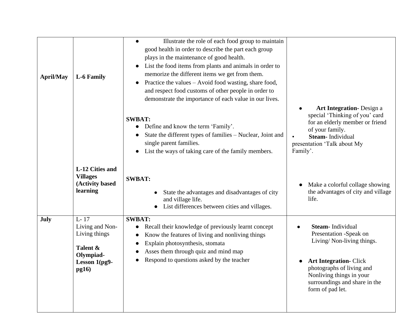| <b>April/May</b> | L-6 Family                                                                                              | Illustrate the role of each food group to maintain<br>good health in order to describe the part each group<br>plays in the maintenance of good health.<br>List the food items from plants and animals in order to<br>$\bullet$<br>memorize the different items we get from them.<br>Practice the values - Avoid food wasting, share food,<br>$\bullet$<br>and respect food customs of other people in order to<br>demonstrate the importance of each value in our lives. |                                                                                                                                                                                                                                |
|------------------|---------------------------------------------------------------------------------------------------------|--------------------------------------------------------------------------------------------------------------------------------------------------------------------------------------------------------------------------------------------------------------------------------------------------------------------------------------------------------------------------------------------------------------------------------------------------------------------------|--------------------------------------------------------------------------------------------------------------------------------------------------------------------------------------------------------------------------------|
|                  |                                                                                                         | <b>SWBAT:</b><br>Define and know the term 'Family'.<br>State the different types of families – Nuclear, Joint and<br>single parent families.<br>List the ways of taking care of the family members.                                                                                                                                                                                                                                                                      | <b>Art Integration-</b> Design a<br>special 'Thinking of you' card<br>for an elderly member or friend<br>of your family.<br>Steam- Individual<br>presentation 'Talk about My<br>Family'.                                       |
|                  | L-12 Cities and<br><b>Villages</b><br>(Activity based<br>learning                                       | <b>SWBAT:</b><br>State the advantages and disadvantages of city<br>and village life.<br>List differences between cities and villages.                                                                                                                                                                                                                                                                                                                                    | Make a colorful collage showing<br>the advantages of city and village<br>life.                                                                                                                                                 |
| July             | $L - 17$<br>Living and Non-<br>Living things<br>Talent &<br>Olympiad-<br>Lesson 1(pg9-<br><b>pg16</b> ) | <b>SWBAT:</b><br>Recall their knowledge of previously learnt concept<br>$\bullet$<br>Know the features of living and nonliving things<br>Explain photosynthesis, stomata<br>Asses them through quiz and mind map<br>Respond to questions asked by the teacher                                                                                                                                                                                                            | <b>Steam-Individual</b><br>Presentation -Speak on<br>Living/ Non-living things.<br><b>Art Integration- Click</b><br>photographs of living and<br>Nonliving things in your<br>surroundings and share in the<br>form of pad let. |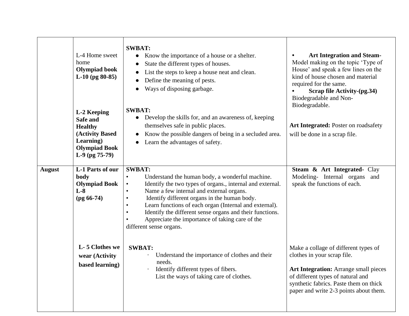|               | L-4 Home sweet<br>home<br><b>Olympiad book</b><br>$L-10$ (pg 80-85)<br>L-2 Keeping<br>Safe and<br><b>Healthy</b><br>(Activity Based<br>Learning)<br><b>Olympiad Book</b><br>$L-9$ (pg 75-79) | <b>SWBAT:</b><br>Know the importance of a house or a shelter.<br>State the different types of houses.<br>$\bullet$<br>List the steps to keep a house neat and clean.<br>Define the meaning of pests.<br>Ways of disposing garbage.<br><b>SWBAT:</b><br>Develop the skills for, and an awareness of, keeping<br>$\bullet$<br>themselves safe in public places.<br>Know the possible dangers of being in a secluded area.<br>Learn the advantages of safety.                        | <b>Art Integration and Steam-</b><br>Model making on the topic 'Type of<br>House' and speak a few lines on the<br>kind of house chosen and material<br>required for the same.<br>Scrap file Activity-(pg.34)<br>Biodegradable and Non-<br>Biodegradable.<br>Art Integrated: Poster on roadsafety<br>will be done in a scrap file. |
|---------------|----------------------------------------------------------------------------------------------------------------------------------------------------------------------------------------------|-----------------------------------------------------------------------------------------------------------------------------------------------------------------------------------------------------------------------------------------------------------------------------------------------------------------------------------------------------------------------------------------------------------------------------------------------------------------------------------|-----------------------------------------------------------------------------------------------------------------------------------------------------------------------------------------------------------------------------------------------------------------------------------------------------------------------------------|
| <b>August</b> | L-1 Parts of our<br>body<br><b>Olympiad Book</b><br>$L-8$<br>$(pg 66-74)$                                                                                                                    | <b>SWBAT:</b><br>Understand the human body, a wonderful machine.<br>Identify the two types of organs., internal and external.<br>Name a few internal and external organs.<br>$\bullet$<br>Identify different organs in the human body.<br>$\bullet$<br>Learn functions of each organ (Internal and external).<br>$\bullet$<br>Identify the different sense organs and their functions.<br>$\bullet$<br>Appreciate the importance of taking care of the<br>different sense organs. | Steam & Art Integrated- Clay<br>Modeling- Internal organs<br>and<br>speak the functions of each.                                                                                                                                                                                                                                  |
|               | L-5 Clothes we<br>wear (Activity<br>based learning)                                                                                                                                          | <b>SWBAT:</b><br>Understand the importance of clothes and their<br>needs.<br>Identify different types of fibers.<br>List the ways of taking care of clothes.                                                                                                                                                                                                                                                                                                                      | Make a collage of different types of<br>clothes in your scrap file.<br>Art Integration: Arrange small pieces<br>of different types of natural and<br>synthetic fabrics. Paste them on thick<br>paper and write 2-3 points about them.                                                                                             |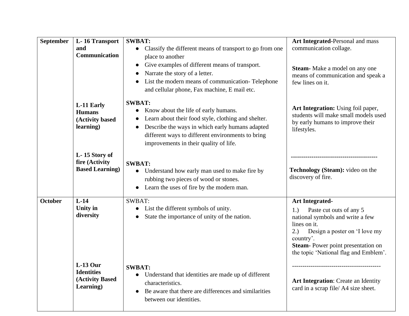| <b>September</b> | L-16 Transport<br>and<br>Communication                          | <b>SWBAT:</b><br>Classify the different means of transport to go from one<br>$\bullet$<br>place to another<br>Give examples of different means of transport.<br>$\bullet$<br>Narrate the story of a letter.<br>List the modern means of communication-Telephone<br>and cellular phone, Fax machine, E mail etc. | Art Integrated-Personal and mass<br>communication collage.<br>Steam-Make a model on any one<br>means of communication and speak a<br>few lines on it.                                                                                           |
|------------------|-----------------------------------------------------------------|-----------------------------------------------------------------------------------------------------------------------------------------------------------------------------------------------------------------------------------------------------------------------------------------------------------------|-------------------------------------------------------------------------------------------------------------------------------------------------------------------------------------------------------------------------------------------------|
|                  | L-11 Early<br><b>Humans</b><br>(Activity based<br>learning)     | <b>SWBAT:</b><br>Know about the life of early humans.<br>Learn about their food style, clothing and shelter.<br>Describe the ways in which early humans adapted<br>different ways to different environments to bring<br>improvements in their quality of life.                                                  | Art Integration: Using foil paper,<br>students will make small models used<br>by early humans to improve their<br>lifestyles.                                                                                                                   |
|                  | L-15 Story of<br>fire (Activity<br><b>Based Learning</b> )      | <b>SWBAT:</b><br>Understand how early man used to make fire by<br>$\bullet$<br>rubbing two pieces of wood or stones.<br>Learn the uses of fire by the modern man.                                                                                                                                               | Technology (Steam): video on the<br>discovery of fire.                                                                                                                                                                                          |
| <b>October</b>   | $L-14$<br>Unity in<br>diversity                                 | <b>SWBAT:</b><br>List the different symbols of unity.<br>State the importance of unity of the nation.                                                                                                                                                                                                           | <b>Art Integrated-</b><br>Paste cut outs of any 5<br>1.)<br>national symbols and write a few<br>lines on it.<br>Design a poster on 'I love my<br>2.)<br>country'.<br>Steam-Power point presentation on<br>the topic 'National flag and Emblem'. |
|                  | $L-13$ Our<br><b>Identities</b><br>(Activity Based<br>Learning) | <b>SWBAT:</b><br>Understand that identities are made up of different<br>$\bullet$<br>characteristics.<br>Be aware that there are differences and similarities<br>$\bullet$<br>between our identities.                                                                                                           | <b>Art Integration:</b> Create an Identity<br>card in a scrap file/ A4 size sheet.                                                                                                                                                              |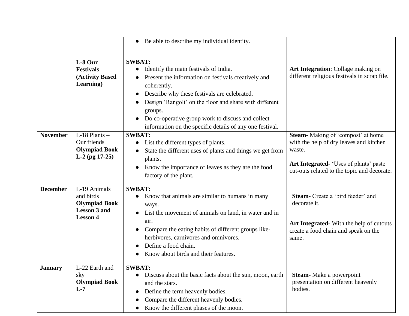|                 |                                                                                             | • Be able to describe my individual identity.                                                                                                                                                                                                                                                                                                                                                             |                                                                                                                                                                                 |
|-----------------|---------------------------------------------------------------------------------------------|-----------------------------------------------------------------------------------------------------------------------------------------------------------------------------------------------------------------------------------------------------------------------------------------------------------------------------------------------------------------------------------------------------------|---------------------------------------------------------------------------------------------------------------------------------------------------------------------------------|
|                 | L-8 Our<br><b>Festivals</b><br>(Activity Based)<br>Learning)                                | <b>SWBAT:</b><br>Identify the main festivals of India.<br>$\bullet$<br>Present the information on festivals creatively and<br>coherently.<br>Describe why these festivals are celebrated.<br>$\bullet$<br>Design 'Rangoli' on the floor and share with different<br>groups.<br>Do co-operative group work to discuss and collect<br>$\bullet$<br>information on the specific details of any one festival. | Art Integration: Collage making on<br>different religious festivals in scrap file.                                                                                              |
| <b>November</b> | $L-18$ Plants $-$<br>Our friends<br><b>Olympiad Book</b><br>$L-2$ (pg 17-25)                | <b>SWBAT:</b><br>List the different types of plants.<br>$\bullet$<br>State the different uses of plants and things we get from<br>plants.<br>Know the importance of leaves as they are the food<br>$\bullet$<br>factory of the plant.                                                                                                                                                                     | Steam-Making of 'compost' at home<br>with the help of dry leaves and kitchen<br>waste.<br>Art Integrated- 'Uses of plants' paste<br>cut-outs related to the topic and decorate. |
| <b>December</b> | L-19 Animals<br>and birds<br><b>Olympiad Book</b><br><b>Lesson 3 and</b><br><b>Lesson 4</b> | <b>SWBAT:</b><br>Know that animals are similar to humans in many<br>ways.<br>List the movement of animals on land, in water and in<br>air.<br>Compare the eating habits of different groups like-<br>$\bullet$<br>herbivores, carnivores and omnivores.<br>Define a food chain.<br>Know about birds and their features.                                                                                   | <b>Steam-</b> Create a 'bird feeder' and<br>decorate it.<br>Art Integrated-With the help of cutouts<br>create a food chain and speak on the<br>same.                            |
| <b>January</b>  | L-22 Earth and<br>sky<br><b>Olympiad Book</b><br>$L-7$                                      | <b>SWBAT:</b><br>Discuss about the basic facts about the sun, moon, earth<br>$\bullet$<br>and the stars.<br>Define the term heavenly bodies.<br>$\bullet$<br>Compare the different heavenly bodies.<br>Know the different phases of the moon.<br>$\bullet$                                                                                                                                                | <b>Steam-</b> Make a powerpoint<br>presentation on different heavenly<br>bodies.                                                                                                |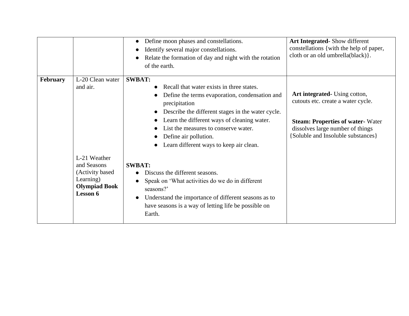|                 |                                                                                                                                  | Define moon phases and constellations.<br>Identify several major constellations.<br>Relate the formation of day and night with the rotation<br>of the earth.                                                                                                                                                                                                                                                                                                                                                                                                                                                                                   | <b>Art Integrated-</b> Show different<br>constellations { with the help of paper,<br>cloth or an old umbrella(black) }.                                                                  |
|-----------------|----------------------------------------------------------------------------------------------------------------------------------|------------------------------------------------------------------------------------------------------------------------------------------------------------------------------------------------------------------------------------------------------------------------------------------------------------------------------------------------------------------------------------------------------------------------------------------------------------------------------------------------------------------------------------------------------------------------------------------------------------------------------------------------|------------------------------------------------------------------------------------------------------------------------------------------------------------------------------------------|
| <b>February</b> | L-20 Clean water<br>and air.<br>L-21 Weather<br>and Seasons<br>(Activity based)<br>Learning)<br><b>Olympiad Book</b><br>Lesson 6 | <b>SWBAT:</b><br>Recall that water exists in three states.<br>$\bullet$<br>Define the terms evaporation, condensation and<br>precipitation<br>Describe the different stages in the water cycle.<br>$\bullet$<br>Learn the different ways of cleaning water.<br>List the measures to conserve water.<br>Define air pollution.<br>Learn different ways to keep air clean.<br><b>SWBAT:</b><br>Discuss the different seasons.<br>Speak on 'What activities do we do in different<br>$\bullet$<br>seasons?'<br>Understand the importance of different seasons as to<br>$\bullet$<br>have seasons is a way of letting life be possible on<br>Earth. | Art integrated Using cotton,<br>cutouts etc. create a water cycle.<br><b>Steam: Properties of water- Water</b><br>dissolves large number of things<br>[Soluble and Insoluble substances] |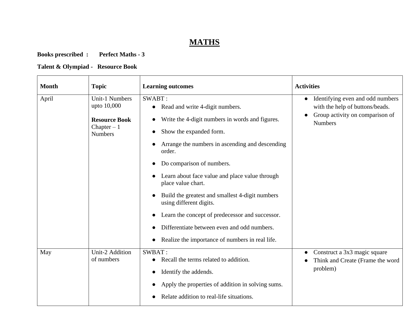## **MATHS**

## **Books prescribed : Perfect Maths - 3**

## **Talent & Olympiad - Resource Book**

| <b>Month</b> | <b>Topic</b>                                                                                   | <b>Learning outcomes</b>                                                                                                                                                                                                                                                                                                                                                                                                                                                                                                                  | <b>Activities</b>                                                                                                                     |
|--------------|------------------------------------------------------------------------------------------------|-------------------------------------------------------------------------------------------------------------------------------------------------------------------------------------------------------------------------------------------------------------------------------------------------------------------------------------------------------------------------------------------------------------------------------------------------------------------------------------------------------------------------------------------|---------------------------------------------------------------------------------------------------------------------------------------|
| April        | <b>Unit-1 Numbers</b><br>upto 10,000<br><b>Resource Book</b><br>Chapter $-1$<br><b>Numbers</b> | SWABT:<br>Read and write 4-digit numbers.<br>$\bullet$<br>Write the 4-digit numbers in words and figures.<br>Show the expanded form.<br>Arrange the numbers in ascending and descending<br>order.<br>Do comparison of numbers.<br>Learn about face value and place value through<br>place value chart.<br>Build the greatest and smallest 4-digit numbers<br>using different digits.<br>Learn the concept of predecessor and successor.<br>Differentiate between even and odd numbers.<br>Realize the importance of numbers in real life. | Identifying even and odd numbers<br>$\bullet$<br>with the help of buttons/beads.<br>Group activity on comparison of<br><b>Numbers</b> |
| May          | Unit-2 Addition<br>of numbers                                                                  | SWBAT:<br>Recall the terms related to addition.<br>Identify the addends.<br>Apply the properties of addition in solving sums.<br>Relate addition to real-life situations.                                                                                                                                                                                                                                                                                                                                                                 | Construct a 3x3 magic square<br>Think and Create (Frame the word<br>problem)                                                          |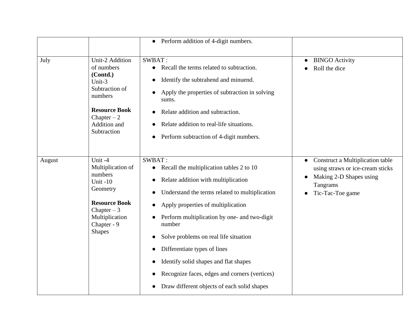|        |                                                                                                                                                                | Perform addition of 4-digit numbers.<br>$\bullet$                                                                                                                                                                                                                                                                                                                                                                                                                          |                                                                                                                                 |
|--------|----------------------------------------------------------------------------------------------------------------------------------------------------------------|----------------------------------------------------------------------------------------------------------------------------------------------------------------------------------------------------------------------------------------------------------------------------------------------------------------------------------------------------------------------------------------------------------------------------------------------------------------------------|---------------------------------------------------------------------------------------------------------------------------------|
| July   | <b>Unit-2 Addition</b><br>of numbers<br>(Contd.)<br>Unit-3<br>Subtraction of<br>numbers<br><b>Resource Book</b><br>Chapter $-2$<br>Addition and<br>Subtraction | SWBAT:<br>Recall the terms related to subtraction.<br>Identify the subtrahend and minuend.<br>Apply the properties of subtraction in solving<br>sums.<br>Relate addition and subtraction.<br>Relate addition to real-life situations.<br>Perform subtraction of 4-digit numbers.                                                                                                                                                                                           | <b>BINGO Activity</b><br>Roll the dice                                                                                          |
| August | Unit -4<br>Multiplication of<br>numbers<br>Unit-10<br>Geometry<br><b>Resource Book</b><br>Chapter $-3$<br>Multiplication<br>Chapter - 9<br><b>Shapes</b>       | SWBAT:<br>Recall the multiplication tables 2 to 10<br>$\bullet$<br>Relate addition with multiplication<br>Understand the terms related to multiplication<br>Apply properties of multiplication<br>Perform multiplication by one- and two-digit<br>number<br>Solve problems on real life situation<br>Differentiate types of lines<br>Identify solid shapes and flat shapes<br>Recognize faces, edges and corners (vertices)<br>Draw different objects of each solid shapes | Construct a Multiplication table<br>using straws or ice-cream sticks<br>Making 2-D Shapes using<br>Tangrams<br>Tic-Tac-Toe game |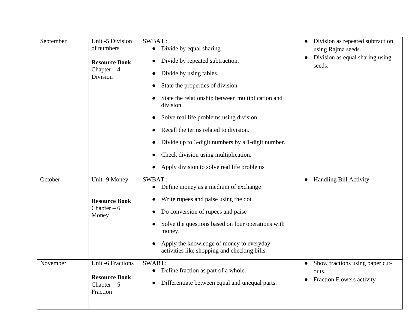| September           | Unit -5 Division<br>of numbers<br><b>Resource Book</b><br>Chapter $-4$<br>Division                                                             | SWBAT:<br>Divide by equal sharing.<br>$\bullet$<br>Divide by repeated subtraction.<br>Divide by using tables.<br>State the properties of division.<br>State the relationship between multiplication and<br>division.<br>Solve real life problems using division.<br>Recall the terms related to division.<br>Divide up to 3-digit numbers by a 1-digit number.<br>Check division using multiplication.<br>Apply division to solve real life problems | Division as repeated subtraction<br>using Rajma seeds.<br>Division as equal sharing using<br>seeds.                   |
|---------------------|------------------------------------------------------------------------------------------------------------------------------------------------|------------------------------------------------------------------------------------------------------------------------------------------------------------------------------------------------------------------------------------------------------------------------------------------------------------------------------------------------------------------------------------------------------------------------------------------------------|-----------------------------------------------------------------------------------------------------------------------|
| October<br>November | Unit -9 Money<br><b>Resource Book</b><br>Chapter $-6$<br>Money<br><b>Unit -6 Fractions</b><br><b>Resource Book</b><br>Chapter $-5$<br>Fraction | SWBAT:<br>Define money as a medium of exchange<br>Write rupees and paise using the dot<br>Do conversion of rupees and paise<br>Solve the questions based on four operations with<br>money.<br>Apply the knowledge of money to everyday<br>activities like shopping and checking bills.<br><b>SWABT:</b><br>Define fraction as part of a whole.<br>Differentiate between equal and unequal parts.                                                     | • Handling Bill Activity<br>Show fractions using paper cut-<br>$\bullet$<br>outs.<br><b>Fraction Flowers activity</b> |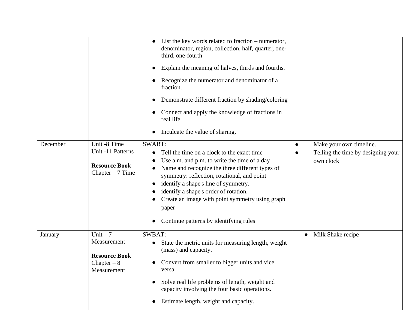|          |                                                                                 | List the key words related to fraction $-$ numerator,<br>denominator, region, collection, half, quarter, one-<br>third, one-fourth<br>Explain the meaning of halves, thirds and fourths.<br>Recognize the numerator and denominator of a<br>fraction.<br>Demonstrate different fraction by shading/coloring<br>Connect and apply the knowledge of fractions in<br>real life.<br>Inculcate the value of sharing. |                                                                            |
|----------|---------------------------------------------------------------------------------|-----------------------------------------------------------------------------------------------------------------------------------------------------------------------------------------------------------------------------------------------------------------------------------------------------------------------------------------------------------------------------------------------------------------|----------------------------------------------------------------------------|
| December | Unit -8 Time<br>Unit -11 Patterns<br><b>Resource Book</b><br>Chapter $-7$ Time  | <b>SWABT:</b><br>Tell the time on a clock to the exact time<br>Use a.m. and p.m. to write the time of a day<br>Name and recognize the three different types of<br>symmetry: reflection, rotational, and point<br>identify a shape's line of symmetry.<br>identify a shape's order of rotation.<br>Create an image with point symmetry using graph<br>paper<br>Continue patterns by identifying rules            | Make your own timeline.<br>Telling the time by designing your<br>own clock |
| January  | Unit $-7$<br>Measurement<br><b>Resource Book</b><br>Chapter $-8$<br>Measurement | <b>SWBAT:</b><br>State the metric units for measuring length, weight<br>$\bullet$<br>(mass) and capacity.<br>Convert from smaller to bigger units and vice<br>versa.<br>Solve real life problems of length, weight and<br>capacity involving the four basic operations.<br>Estimate length, weight and capacity.                                                                                                | Milk Shake recipe                                                          |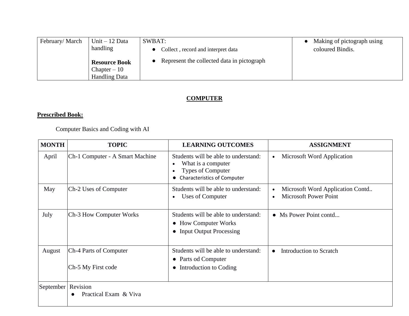| February/March | Unit $-12$ Data      | SWBAT:                                     | Making of pictograph using |
|----------------|----------------------|--------------------------------------------|----------------------------|
|                | handling             | Collect, record and interpret data         | coloured Bindis.           |
|                | <b>Resource Book</b> | Represent the collected data in pictograph |                            |
|                | $Chapter - 10$       |                                            |                            |
|                | <b>Handling Data</b> |                                            |                            |

### **COMPUTER**

## **Prescribed Book:**

Computer Basics and Coding with AI

| <b>MONTH</b>         | <b>TOPIC</b>                                 | <b>LEARNING OUTCOMES</b>                                                                                                           | <b>ASSIGNMENT</b>                                                |
|----------------------|----------------------------------------------|------------------------------------------------------------------------------------------------------------------------------------|------------------------------------------------------------------|
| April                | Ch-1 Computer - A Smart Machine              | Students will be able to understand:<br>What is a computer<br>$\bullet$<br>Types of Computer<br><b>Characteristics of Computer</b> | Microsoft Word Application                                       |
| May                  | Ch-2 Uses of Computer                        | Students will be able to understand:<br>Uses of Computer<br>$\bullet$                                                              | Microsoft Word Application Contd<br><b>Microsoft Power Point</b> |
| July                 | Ch-3 How Computer Works                      | Students will be able to understand:<br>• How Computer Works<br>• Input Output Processing                                          | • Ms Power Point contd                                           |
| August               | Ch-4 Parts of Computer<br>Ch-5 My First code | Students will be able to understand:<br>• Parts od Computer<br>Introduction to Coding<br>$\bullet$                                 | <b>Introduction to Scratch</b><br>$\bullet$                      |
| September   Revision | Practical Exam & Viva                        |                                                                                                                                    |                                                                  |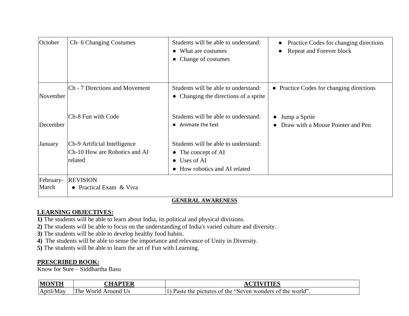| October            | Ch- 6 Changing Costumes                                                  | Students will be able to understand:<br>• What are costumes<br>• Change of costumes                          | Practice Codes for changing directions<br>$\bullet$<br>Repeat and Forever block |
|--------------------|--------------------------------------------------------------------------|--------------------------------------------------------------------------------------------------------------|---------------------------------------------------------------------------------|
| November           | Ch - 7 Directions and Movement                                           | Students will be able to understand:<br>• Changing the directions of a sprite                                | • Practice Codes for changing directions                                        |
| December           | Ch-8 Fun with Code                                                       | Students will be able to understand:<br>• Animate the text                                                   | Jump a Sprite<br>Draw with a Mouse Pointer and Pen                              |
| January            | Ch-9 Artificial Intelligence<br>Ch-10 How are Robotics and AI<br>related | Students will be able to understand:<br>• The concept of AI<br>• Uses of AI<br>• How robotics and AI related |                                                                                 |
| February-<br>March | <b>REVISION</b><br>• Practical Exam & Viva                               |                                                                                                              |                                                                                 |

### **GENERAL AWARENESS**

### **LEARNING OBJECTIVES:**

- **1)** The students will be able to learn about India, its political and physical divisions.
- **2)** The students will be able to focus on the understanding of India's varied culture and diversity.
- **3)** The students will be able to develop healthy food habits.
- **4)** The students will be able to sense the importance and relevance of Unity in Diversity.
- **5)** The students will be able to learn the art of Fun with Learning.

### **PRESCRIBED BOOK:**

Know for Sure – Siddhartha Basu

| <b>MONTH</b>    | <b>DOD</b><br>$\sim$ tt                |                                                               |
|-----------------|----------------------------------------|---------------------------------------------------------------|
| April/"<br>/Mav | The<br>Worla<br>$\sim$ Around $\cup$ . | pictures of the "Seven wonders of the world".<br>Paste<br>the |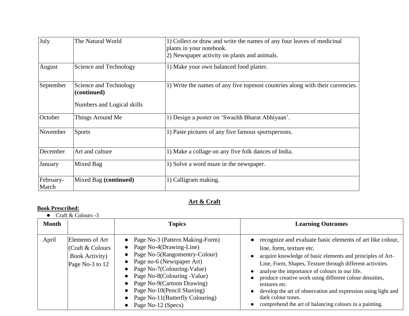| July               | The Natural World                                                   | 1) Collect or draw and write the names of any four leaves of medicinal<br>plants in your notebook. |
|--------------------|---------------------------------------------------------------------|----------------------------------------------------------------------------------------------------|
|                    |                                                                     | 2) Newspaper activity on plants and animals.                                                       |
| August             | Science and Technology                                              | 1) Make your own balanced food platter.                                                            |
| September          | Science and Technology<br>(continued)<br>Numbers and Logical skills | 1) Write the names of any five topmost countries along with their currencies.                      |
| October            | Things Around Me                                                    | 1) Design a poster on 'Swachh Bharat Abhiyaan'.                                                    |
| November           | <b>Sports</b>                                                       | 1) Paste pictures of any five famous sportspersons.                                                |
| December           | Art and culture                                                     | 1) Make a collage on any five folk dances of India.                                                |
| January            | Mixed Bag                                                           | 1) Solve a word maze in the newspaper.                                                             |
| February-<br>March | Mixed Bag (continued)                                               | 1) Calligram making.                                                                               |

## **Art & Craft**

### **Book Prescribed:**

|  | Craft & Colours -3 |  |
|--|--------------------|--|
|--|--------------------|--|

| <b>Month</b> |                                                                                  | <b>Topics</b>                                                                                                                                                                                                                                                                                                                             | <b>Learning Outcomes</b>                                                                                                                                                                                                                                                                                                                                                                                                                                                                          |
|--------------|----------------------------------------------------------------------------------|-------------------------------------------------------------------------------------------------------------------------------------------------------------------------------------------------------------------------------------------------------------------------------------------------------------------------------------------|---------------------------------------------------------------------------------------------------------------------------------------------------------------------------------------------------------------------------------------------------------------------------------------------------------------------------------------------------------------------------------------------------------------------------------------------------------------------------------------------------|
| April        | Elements of Art<br>(Craft & Colours<br><b>Book Activity</b> )<br>Page No-3 to 12 | • Page No-3 (Pattern Making-Form)<br>• Page No-4(Drawing-Line)<br>• Page No-5(Rangomentry-Colour)<br>• Page no-6 (Newspaper Art)<br>• Page No-7(Colouring-Value)<br>• Page No-8(Colouring -Value)<br>• Page No-9(Cartoon Drawing)<br>• Page No-10(Pencil Shaving)<br>• Page No-11(Butterfly Colouring)<br>Page No-12 (Specs)<br>$\bullet$ | • recognize and evaluate basic elements of art like colour,<br>line, form, texture etc.<br>acquire knowledge of basic elements and principles of Art-<br>Line, Form, Shapes, Texture through different activities.<br>analyse the importance of colours in our life.<br>produce creative work using different colour densities,<br>textures etc.<br>develop the art of observation and expression using light and<br>dark colour tones.<br>comprehend the art of balancing colours in a painting. |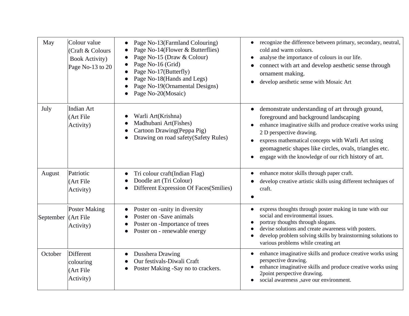| May                 | Colour value<br>(Craft & Colours<br><b>Book Activity)</b><br>Page No-13 to 20 | Page No-13(Farmland Colouring)<br>Page No-14(Flower & Butterflies)<br>Page No-15 (Draw & Colour)<br>Page No-16 (Grid)<br>Page No-17(Butterfly)<br>Page No-18(Hands and Legs)<br>Page No-19(Ornamental Designs)<br>Page No-20(Mosaic) | recognize the difference between primary, secondary, neutral,<br>cold and warm colours.<br>analyse the importance of colours in our life.<br>connect with art and develop aesthetic sense through<br>ornament making.<br>develop aesthetic sense with Mosaic Art                                                                                              |
|---------------------|-------------------------------------------------------------------------------|--------------------------------------------------------------------------------------------------------------------------------------------------------------------------------------------------------------------------------------|---------------------------------------------------------------------------------------------------------------------------------------------------------------------------------------------------------------------------------------------------------------------------------------------------------------------------------------------------------------|
| July                | <b>Indian Art</b><br>(Art File<br>Activity)                                   | Warli Art(Krishna)<br>Madhubani Art(Fishes)<br>Cartoon Drawing (Peppa Pig)<br>Drawing on road safety (Safety Rules)                                                                                                                  | demonstrate understanding of art through ground,<br>foreground and background landscaping<br>enhance imaginative skills and produce creative works using<br>2 D perspective drawing.<br>express mathematical concepts with Warli Art using<br>geomagnetic shapes like circles, ovals, triangles etc.<br>engage with the knowledge of our rich history of art. |
| August              | Patriotic<br>(Art File<br>Activity)                                           | Tri colour craft(Indian Flag)<br>Doodle art (Tri Colour)<br>Different Expression Of Faces(Smilies)                                                                                                                                   | enhance motor skills through paper craft.<br>develop creative artistic skills using different techniques of<br>craft.                                                                                                                                                                                                                                         |
| September (Art File | <b>Poster Making</b><br>Activity)                                             | Poster on -unity in diversity<br>Poster on -Save animals<br>Poster on -Importance of trees<br>Poster on - renewable energy                                                                                                           | express thoughts through poster making in tune with our<br>social and environmental issues.<br>portray thoughts through slogans.<br>devise solutions and create awareness with posters.<br>develop problem solving skills by brainstorming solutions to<br>various problems while creating art                                                                |
| October             | <b>Different</b><br>colouring<br>(Art File<br>Activity)                       | Dusshera Drawing<br>Our festivals-Diwali Craft<br>Poster Making -Say no to crackers.                                                                                                                                                 | enhance imaginative skills and produce creative works using<br>perspective drawing.<br>enhance imaginative skills and produce creative works using<br>2point perspective drawing.<br>social awareness , save our environment.                                                                                                                                 |